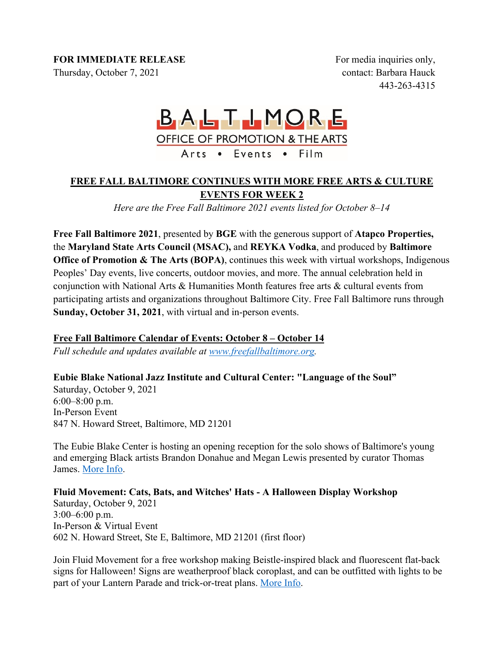#### **FOR IMMEDIATE RELEASE**

Thursday, October 7, 2021

For media inquiries only, contact: Barbara Hauck 443-263-4315

# BALTIMORE **OFFICE OF PROMOTION & THE ARTS** Arts . Events . Film

# **FREE FALL BALTIMORE CONTINUES WITH MORE FREE ARTS & CULTURE EVENTS FOR WEEK 2**

*Here are the Free Fall Baltimore 2021 events listed for October 8–14*

**Free Fall Baltimore 2021**, presented by **BGE** with the generous support of **Atapco Properties,**  the **Maryland State Arts Council (MSAC),** and **REYKA Vodka**, and produced by **Baltimore Office of Promotion & The Arts (BOPA)**, continues this week with virtual workshops, Indigenous Peoples' Day events, live concerts, outdoor movies, and more. The annual celebration held in conjunction with National Arts & Humanities Month features free arts & cultural events from participating artists and organizations throughout Baltimore City. Free Fall Baltimore runs through **Sunday, October 31, 2021**, with virtual and in-person events.

# **Free Fall Baltimore Calendar of Events: October 8 – October 14**

*Full schedule and updates available at www.freefallbaltimore.org.*

#### **Eubie Blake National Jazz Institute and Cultural Center: "Language of the Soul"**

Saturday, October 9, 2021 6:00–8:00 p.m. In-Person Event 847 N. Howard Street, Baltimore, MD 21201

The Eubie Blake Center is hosting an opening reception for the solo shows of Baltimore's young and emerging Black artists Brandon Donahue and Megan Lewis presented by curator Thomas James. More Info.

# **Fluid Movement: Cats, Bats, and Witches' Hats - A Halloween Display Workshop**

Saturday, October 9, 2021 3:00–6:00 p.m. In-Person & Virtual Event 602 N. Howard Street, Ste E, Baltimore, MD 21201 (first floor)

Join Fluid Movement for a free workshop making Beistle-inspired black and fluorescent flat-back signs for Halloween! Signs are weatherproof black coroplast, and can be outfitted with lights to be part of your Lantern Parade and trick-or-treat plans. More Info.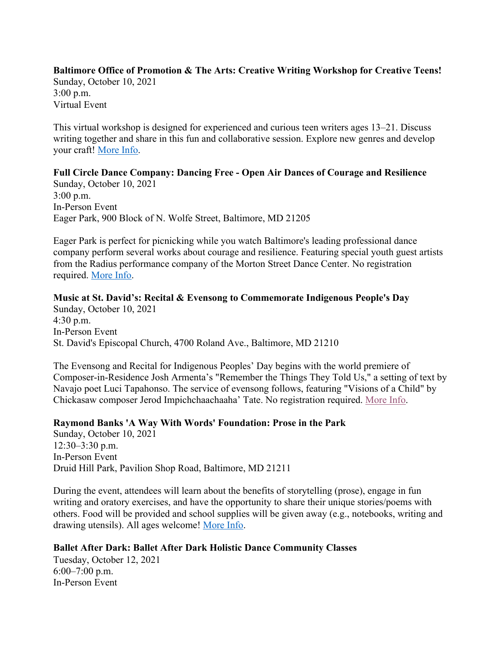#### **Baltimore Office of Promotion & The Arts: Creative Writing Workshop for Creative Teens!**  Sunday, October 10, 2021 3:00 p.m. Virtual Event

This virtual workshop is designed for experienced and curious teen writers ages 13–21. Discuss writing together and share in this fun and collaborative session. Explore new genres and develop your craft! More Info.

#### **Full Circle Dance Company: Dancing Free - Open Air Dances of Courage and Resilience** Sunday, October 10, 2021 3:00 p.m.

In-Person Event Eager Park, 900 Block of N. Wolfe Street, Baltimore, MD 21205

Eager Park is perfect for picnicking while you watch Baltimore's leading professional dance company perform several works about courage and resilience. Featuring special youth guest artists from the Radius performance company of the Morton Street Dance Center. No registration required. More Info.

#### **Music at St. David's: Recital & Evensong to Commemorate Indigenous People's Day** Sunday, October 10, 2021 4:30 p.m. In-Person Event St. David's Episcopal Church, 4700 Roland Ave., Baltimore, MD 21210

The Evensong and Recital for Indigenous Peoples' Day begins with the world premiere of Composer-in-Residence Josh Armenta's "Remember the Things They Told Us," a setting of text by Navajo poet Luci Tapahonso. The service of evensong follows, featuring "Visions of a Child" by Chickasaw composer Jerod Impichchaachaaha' Tate. No registration required. More Info.

#### **Raymond Banks 'A Way With Words' Foundation: Prose in the Park**

Sunday, October 10, 2021 12:30–3:30 p.m. In-Person Event Druid Hill Park, Pavilion Shop Road, Baltimore, MD 21211

During the event, attendees will learn about the benefits of storytelling (prose), engage in fun writing and oratory exercises, and have the opportunity to share their unique stories/poems with others. Food will be provided and school supplies will be given away (e.g., notebooks, writing and drawing utensils). All ages welcome! More Info.

# **Ballet After Dark: Ballet After Dark Holistic Dance Community Classes**

Tuesday, October 12, 2021 6:00–7:00 p.m. In-Person Event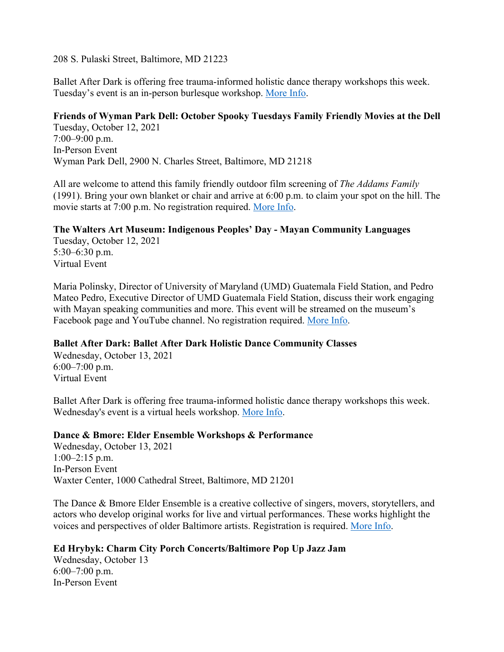208 S. Pulaski Street, Baltimore, MD 21223

Ballet After Dark is offering free trauma-informed holistic dance therapy workshops this week. Tuesday's event is an in-person burlesque workshop. More Info.

#### **Friends of Wyman Park Dell: October Spooky Tuesdays Family Friendly Movies at the Dell**

Tuesday, October 12, 2021 7:00–9:00 p.m. In-Person Event Wyman Park Dell, 2900 N. Charles Street, Baltimore, MD 21218

All are welcome to attend this family friendly outdoor film screening of *The Addams Family* (1991). Bring your own blanket or chair and arrive at 6:00 p.m. to claim your spot on the hill. The movie starts at 7:00 p.m. No registration required. More Info.

# **The Walters Art Museum: Indigenous Peoples' Day - Mayan Community Languages**

Tuesday, October 12, 2021 5:30–6:30 p.m. Virtual Event

Maria Polinsky, Director of University of Maryland (UMD) Guatemala Field Station, and Pedro Mateo Pedro, Executive Director of UMD Guatemala Field Station, discuss their work engaging with Mayan speaking communities and more. This event will be streamed on the museum's Facebook page and YouTube channel. No registration required. More Info.

#### **Ballet After Dark: Ballet After Dark Holistic Dance Community Classes**

Wednesday, October 13, 2021 6:00–7:00 p.m. Virtual Event

Ballet After Dark is offering free trauma-informed holistic dance therapy workshops this week. Wednesday's event is a virtual heels workshop. More Info.

#### **Dance & Bmore: Elder Ensemble Workshops & Performance**

Wednesday, October 13, 2021 1:00–2:15 p.m. In-Person Event Waxter Center, 1000 Cathedral Street, Baltimore, MD 21201

The Dance & Bmore Elder Ensemble is a creative collective of singers, movers, storytellers, and actors who develop original works for live and virtual performances. These works highlight the voices and perspectives of older Baltimore artists. Registration is required. More Info.

#### **Ed Hrybyk: Charm City Porch Concerts/Baltimore Pop Up Jazz Jam**

Wednesday, October 13 6:00–7:00 p.m. In-Person Event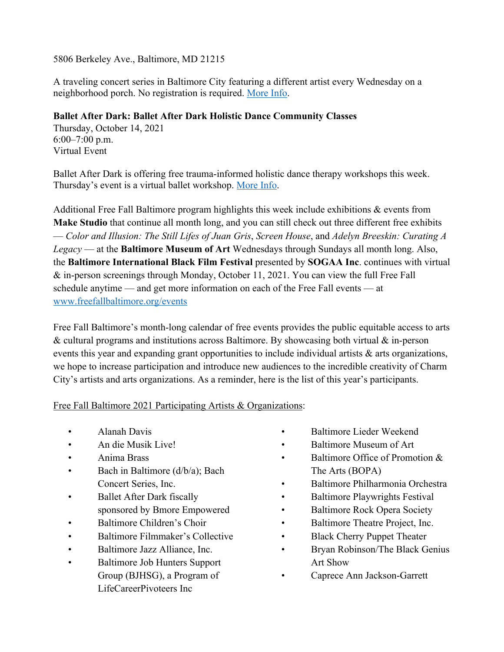5806 Berkeley Ave., Baltimore, MD 21215

A traveling concert series in Baltimore City featuring a different artist every Wednesday on a neighborhood porch. No registration is required. More Info.

# **Ballet After Dark: Ballet After Dark Holistic Dance Community Classes**

Thursday, October 14, 2021 6:00–7:00 p.m. Virtual Event

Ballet After Dark is offering free trauma-informed holistic dance therapy workshops this week. Thursday's event is a virtual ballet workshop. More Info.

Additional Free Fall Baltimore program highlights this week include exhibitions & events from **Make Studio** that continue all month long, and you can still check out three different free exhibits — *Color and Illusion: The Still Lifes of Juan Gris*, *Screen House*, and *Adelyn Breeskin: Curating A Legacy* — at the **Baltimore Museum of Art** Wednesdays through Sundays all month long. Also, the **Baltimore International Black Film Festival** presented by **SOGAA Inc**. continues with virtual & in-person screenings through Monday, October 11, 2021. You can view the full Free Fall schedule anytime — and get more information on each of the Free Fall events — at www.freefallbaltimore.org/events

Free Fall Baltimore's month-long calendar of free events provides the public equitable access to arts  $\&$  cultural programs and institutions across Baltimore. By showcasing both virtual  $\&$  in-person events this year and expanding grant opportunities to include individual artists & arts organizations, we hope to increase participation and introduce new audiences to the incredible creativity of Charm City's artists and arts organizations. As a reminder, here is the list of this year's participants.

# Free Fall Baltimore 2021 Participating Artists & Organizations:

- Alanah Davis
- An die Musik Live!
- Anima Brass
- Bach in Baltimore (d/b/a); Bach Concert Series, Inc.
- Ballet After Dark fiscally sponsored by Bmore Empowered
- Baltimore Children's Choir
- Baltimore Filmmaker's Collective
- Baltimore Jazz Alliance, Inc.
- Baltimore Job Hunters Support Group (BJHSG), a Program of LifeCareerPivoteers Inc
- Baltimore Lieder Weekend
- Baltimore Museum of Art
- Baltimore Office of Promotion & The Arts (BOPA)
- Baltimore Philharmonia Orchestra
- Baltimore Playwrights Festival
- Baltimore Rock Opera Society
- Baltimore Theatre Project, Inc.
- Black Cherry Puppet Theater
- Bryan Robinson/The Black Genius Art Show
- Caprece Ann Jackson-Garrett